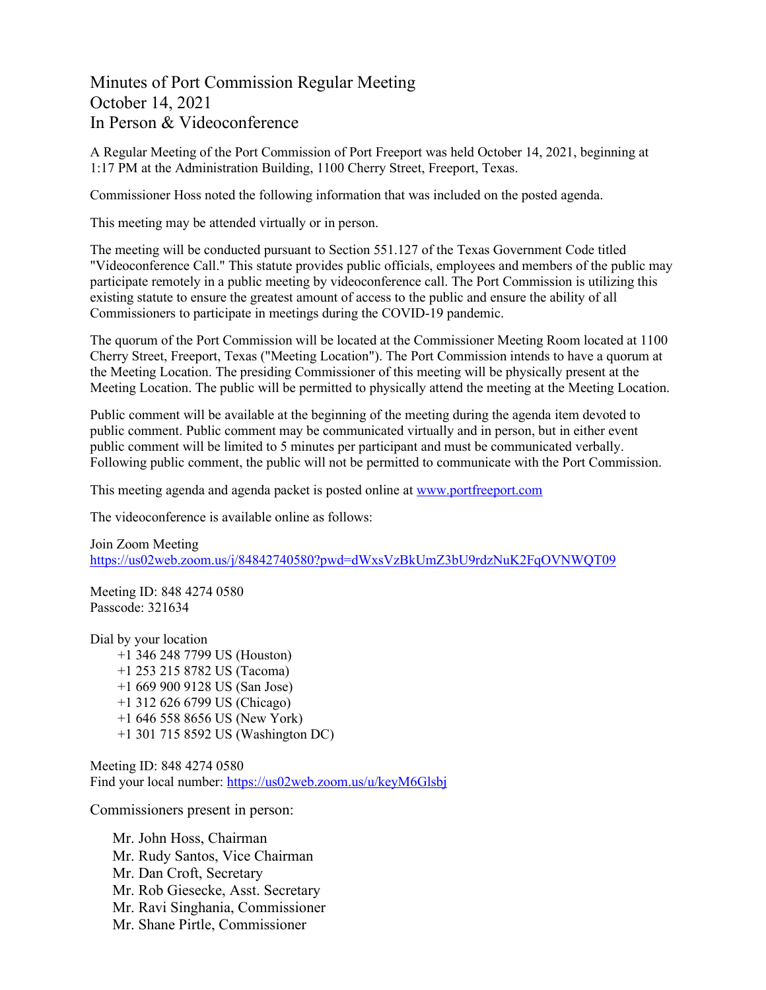## Minutes of Port Commission Regular Meeting October 14, 2021 In Person & Videoconference

A Regular Meeting of the Port Commission of Port Freeport was held October 14, 2021, beginning at 1:17 PM at the Administration Building, 1100 Cherry Street, Freeport, Texas.

Commissioner Hoss noted the following information that was included on the posted agenda.

This meeting may be attended virtually or in person.

The meeting will be conducted pursuant to Section 551.127 of the Texas Government Code titled "Videoconference Call." This statute provides public officials, employees and members of the public may participate remotely in a public meeting by videoconference call. The Port Commission is utilizing this existing statute to ensure the greatest amount of access to the public and ensure the ability of all Commissioners to participate in meetings during the COVID-19 pandemic.

The quorum of the Port Commission will be located at the Commissioner Meeting Room located at 1100 Cherry Street, Freeport, Texas ("Meeting Location"). The Port Commission intends to have a quorum at the Meeting Location. The presiding Commissioner of this meeting will be physically present at the Meeting Location. The public will be permitted to physically attend the meeting at the Meeting Location.

Public comment will be available at the beginning of the meeting during the agenda item devoted to public comment. Public comment may be communicated virtually and in person, but in either event public comment will be limited to 5 minutes per participant and must be communicated verbally. Following public comment, the public will not be permitted to communicate with the Port Commission.

This meeting agenda and agenda packet is posted online at [www.portfreeport.com](http://www.portfreeport.com/) 

The videoconference is available online as follows:

Join Zoom Meeting <https://us02web.zoom.us/j/84842740580?pwd=dWxsVzBkUmZ3bU9rdzNuK2FqOVNWQT09>

Meeting ID: 848 4274 0580 Passcode: 321634

Dial by your location +1 346 248 7799 US (Houston) +1 253 215 8782 US (Tacoma) +1 669 900 9128 US (San Jose) +1 312 626 6799 US (Chicago) +1 646 558 8656 US (New York) +1 301 715 8592 US (Washington DC)

Meeting ID: 848 4274 0580 Find your local number:<https://us02web.zoom.us/u/keyM6Glsbj>

Commissioners present in person:

Mr. John Hoss, Chairman Mr. Rudy Santos, Vice Chairman Mr. Dan Croft, Secretary Mr. Rob Giesecke, Asst. Secretary Mr. Ravi Singhania, Commissioner Mr. Shane Pirtle, Commissioner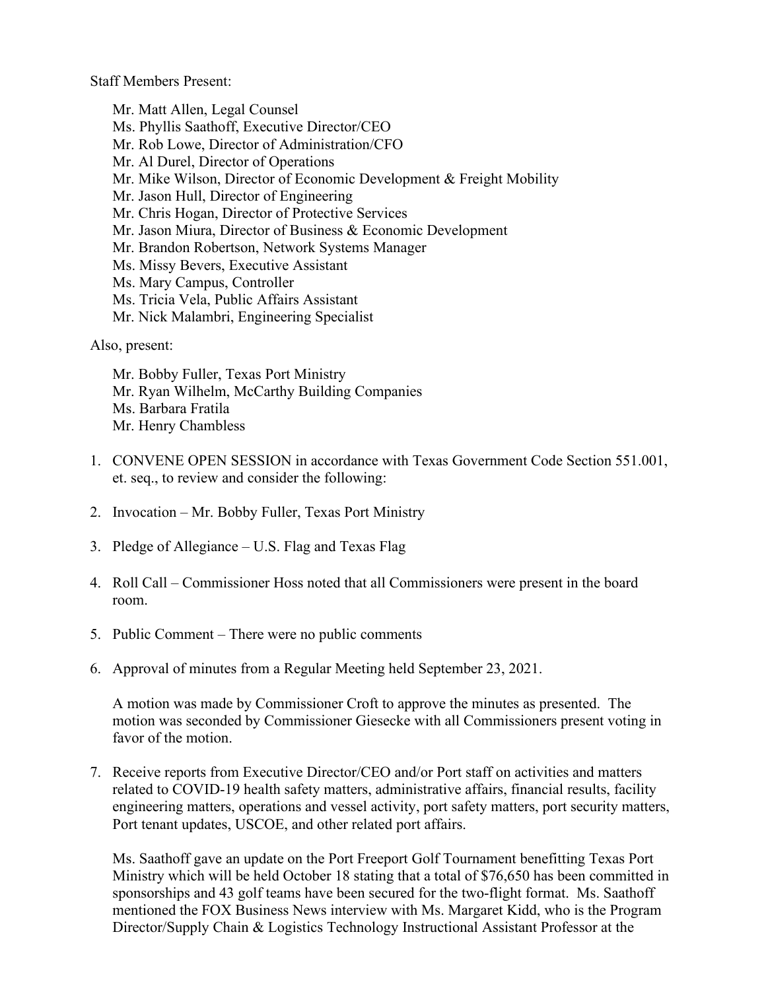Staff Members Present:

Mr. Matt Allen, Legal Counsel Ms. Phyllis Saathoff, Executive Director/CEO Mr. Rob Lowe, Director of Administration/CFO Mr. Al Durel, Director of Operations Mr. Mike Wilson, Director of Economic Development & Freight Mobility Mr. Jason Hull, Director of Engineering Mr. Chris Hogan, Director of Protective Services Mr. Jason Miura, Director of Business & Economic Development Mr. Brandon Robertson, Network Systems Manager Ms. Missy Bevers, Executive Assistant Ms. Mary Campus, Controller Ms. Tricia Vela, Public Affairs Assistant Mr. Nick Malambri, Engineering Specialist

Also, present:

Mr. Bobby Fuller, Texas Port Ministry Mr. Ryan Wilhelm, McCarthy Building Companies Ms. Barbara Fratila Mr. Henry Chambless

- 1. CONVENE OPEN SESSION in accordance with Texas Government Code Section 551.001, et. seq., to review and consider the following:
- 2. Invocation Mr. Bobby Fuller, Texas Port Ministry
- 3. Pledge of Allegiance U.S. Flag and Texas Flag
- 4. Roll Call Commissioner Hoss noted that all Commissioners were present in the board room.
- 5. Public Comment There were no public comments
- 6. Approval of minutes from a Regular Meeting held September 23, 2021.

A motion was made by Commissioner Croft to approve the minutes as presented. The motion was seconded by Commissioner Giesecke with all Commissioners present voting in favor of the motion.

7. Receive reports from Executive Director/CEO and/or Port staff on activities and matters related to COVID-19 health safety matters, administrative affairs, financial results, facility engineering matters, operations and vessel activity, port safety matters, port security matters, Port tenant updates, USCOE, and other related port affairs.

Ms. Saathoff gave an update on the Port Freeport Golf Tournament benefitting Texas Port Ministry which will be held October 18 stating that a total of \$76,650 has been committed in sponsorships and 43 golf teams have been secured for the two-flight format. Ms. Saathoff mentioned the FOX Business News interview with Ms. Margaret Kidd, who is the Program Director/Supply Chain & Logistics Technology Instructional Assistant Professor at the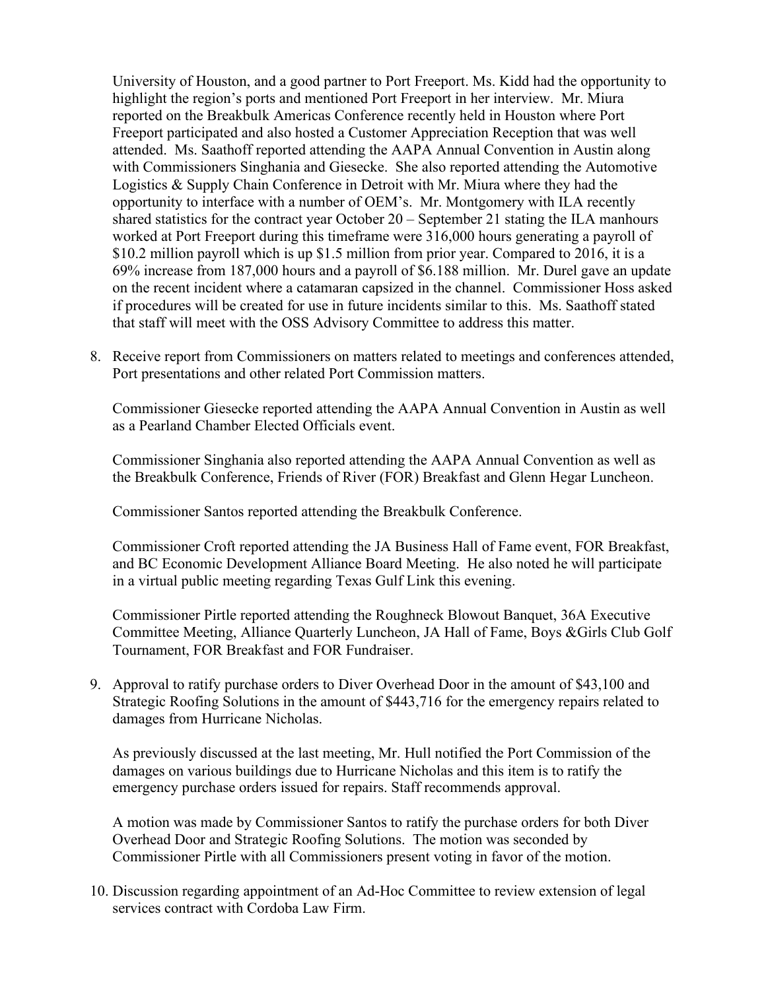University of Houston, and a good partner to Port Freeport. Ms. Kidd had the opportunity to highlight the region's ports and mentioned Port Freeport in her interview. Mr. Miura reported on the Breakbulk Americas Conference recently held in Houston where Port Freeport participated and also hosted a Customer Appreciation Reception that was well attended. Ms. Saathoff reported attending the AAPA Annual Convention in Austin along with Commissioners Singhania and Giesecke. She also reported attending the Automotive Logistics & Supply Chain Conference in Detroit with Mr. Miura where they had the opportunity to interface with a number of OEM's. Mr. Montgomery with ILA recently shared statistics for the contract year October 20 – September 21 stating the ILA manhours worked at Port Freeport during this timeframe were 316,000 hours generating a payroll of \$10.2 million payroll which is up \$1.5 million from prior year. Compared to 2016, it is a 69% increase from 187,000 hours and a payroll of \$6.188 million. Mr. Durel gave an update on the recent incident where a catamaran capsized in the channel. Commissioner Hoss asked if procedures will be created for use in future incidents similar to this. Ms. Saathoff stated that staff will meet with the OSS Advisory Committee to address this matter.

8. Receive report from Commissioners on matters related to meetings and conferences attended, Port presentations and other related Port Commission matters.

Commissioner Giesecke reported attending the AAPA Annual Convention in Austin as well as a Pearland Chamber Elected Officials event.

Commissioner Singhania also reported attending the AAPA Annual Convention as well as the Breakbulk Conference, Friends of River (FOR) Breakfast and Glenn Hegar Luncheon.

Commissioner Santos reported attending the Breakbulk Conference.

Commissioner Croft reported attending the JA Business Hall of Fame event, FOR Breakfast, and BC Economic Development Alliance Board Meeting. He also noted he will participate in a virtual public meeting regarding Texas Gulf Link this evening.

Commissioner Pirtle reported attending the Roughneck Blowout Banquet, 36A Executive Committee Meeting, Alliance Quarterly Luncheon, JA Hall of Fame, Boys &Girls Club Golf Tournament, FOR Breakfast and FOR Fundraiser.

9. Approval to ratify purchase orders to Diver Overhead Door in the amount of \$43,100 and Strategic Roofing Solutions in the amount of \$443,716 for the emergency repairs related to damages from Hurricane Nicholas.

As previously discussed at the last meeting, Mr. Hull notified the Port Commission of the damages on various buildings due to Hurricane Nicholas and this item is to ratify the emergency purchase orders issued for repairs. Staff recommends approval.

A motion was made by Commissioner Santos to ratify the purchase orders for both Diver Overhead Door and Strategic Roofing Solutions. The motion was seconded by Commissioner Pirtle with all Commissioners present voting in favor of the motion.

10. Discussion regarding appointment of an Ad-Hoc Committee to review extension of legal services contract with Cordoba Law Firm.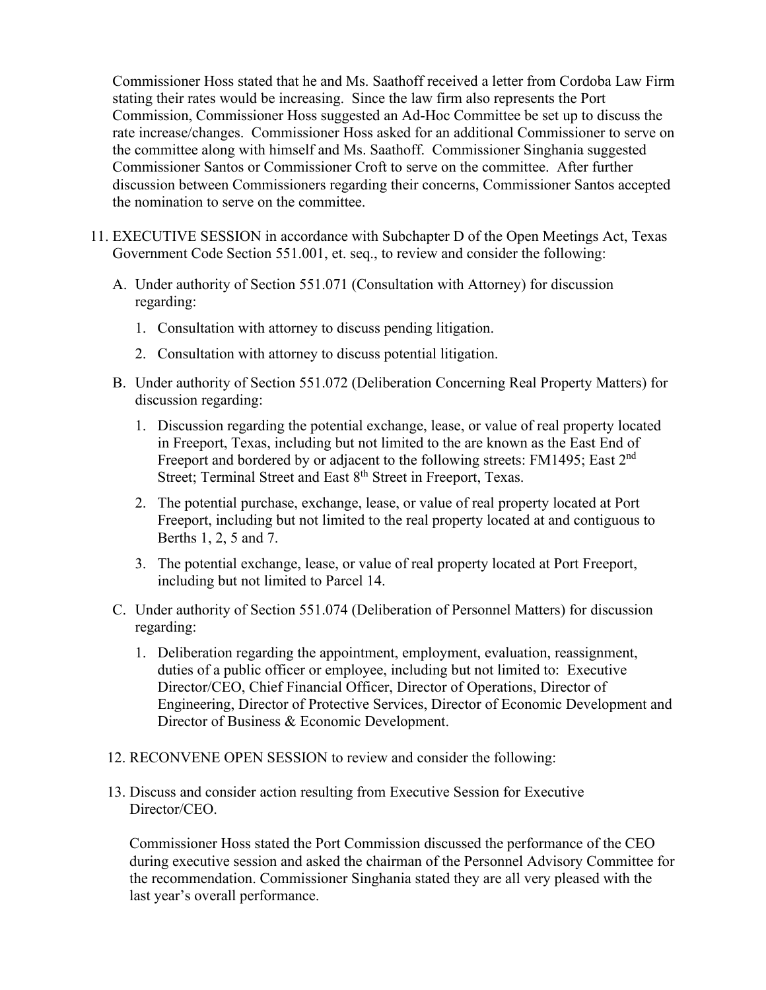Commissioner Hoss stated that he and Ms. Saathoff received a letter from Cordoba Law Firm stating their rates would be increasing. Since the law firm also represents the Port Commission, Commissioner Hoss suggested an Ad-Hoc Committee be set up to discuss the rate increase/changes. Commissioner Hoss asked for an additional Commissioner to serve on the committee along with himself and Ms. Saathoff. Commissioner Singhania suggested Commissioner Santos or Commissioner Croft to serve on the committee. After further discussion between Commissioners regarding their concerns, Commissioner Santos accepted the nomination to serve on the committee.

- 11. EXECUTIVE SESSION in accordance with Subchapter D of the Open Meetings Act, Texas Government Code Section 551.001, et. seq., to review and consider the following:
	- A. Under authority of Section 551.071 (Consultation with Attorney) for discussion regarding:
		- 1. Consultation with attorney to discuss pending litigation.
		- 2. Consultation with attorney to discuss potential litigation.
	- B. Under authority of Section 551.072 (Deliberation Concerning Real Property Matters) for discussion regarding:
		- 1. Discussion regarding the potential exchange, lease, or value of real property located in Freeport, Texas, including but not limited to the are known as the East End of Freeport and bordered by or adjacent to the following streets: FM1495; East 2<sup>nd</sup> Street; Terminal Street and East 8<sup>th</sup> Street in Freeport, Texas.
		- 2. The potential purchase, exchange, lease, or value of real property located at Port Freeport, including but not limited to the real property located at and contiguous to Berths 1, 2, 5 and 7.
		- 3. The potential exchange, lease, or value of real property located at Port Freeport, including but not limited to Parcel 14.
	- C. Under authority of Section 551.074 (Deliberation of Personnel Matters) for discussion regarding:
		- 1. Deliberation regarding the appointment, employment, evaluation, reassignment, duties of a public officer or employee, including but not limited to: Executive Director/CEO, Chief Financial Officer, Director of Operations, Director of Engineering, Director of Protective Services, Director of Economic Development and Director of Business & Economic Development.
	- 12. RECONVENE OPEN SESSION to review and consider the following:
	- 13. Discuss and consider action resulting from Executive Session for Executive Director/CEO.

Commissioner Hoss stated the Port Commission discussed the performance of the CEO during executive session and asked the chairman of the Personnel Advisory Committee for the recommendation. Commissioner Singhania stated they are all very pleased with the last year's overall performance.